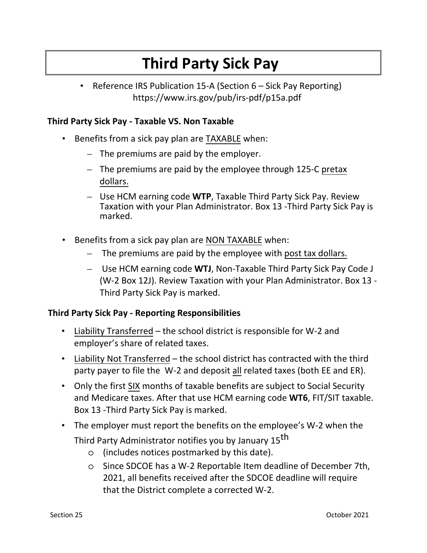## **Third Party Sick Pay**

• Reference IRS Publication 15-A (Section 6 – Sick Pay Reporting) https://www.irs.gov/pub/irs-pdf/p15a.pdf

## **Third Party Sick Pay ‐ Taxable VS. Non Taxable**

- Benefits from a sick pay plan are TAXABLE when:
	- The premiums are paid by the employer.
	- The premiums are paid by the employee through 125‐C pretax dollars.
	- Use HCM earning code **WTP**, Taxable Third Party Sick Pay. Review Taxation with your Plan Administrator. Box 13 -Third Party Sick Pay is marked.
- Benefits from a sick pay plan are NON TAXABLE when:
	- The premiums are paid by the employee with post tax dollars.
	- Use HCM earning code **WTJ**, Non-Taxable Third Party Sick Pay Code J (W-2 Box 12J). Review Taxation with your Plan Administrator. Box 13 - Third Party Sick Pay is marked.

## **Third Party Sick Pay ‐ Reporting Responsibilities**

- Liability Transferred the school district is responsible for W‐2 and employer's share of related taxes.
- Liability Not Transferred the school district has contracted with the third party payer to file the W‐2 and deposit all related taxes (both EE and ER).
- Only the first SIX months of taxable benefits are subject to Social Security and Medicare taxes. After that use HCM earning code **WT6**, FIT/SIT taxable. Box 13 -Third Party Sick Pay is marked.
- The employer must report the benefits on the employee's W‐2 when the Third Party Administrator notifies you by January 15<sup>th</sup>
	- o (includes notices postmarked by this date).
	- o Since SDCOE has a W-2 Reportable Item deadline of December 7th, 2021, all benefits received after the SDCOE deadline will require that the District complete a corrected W-2.